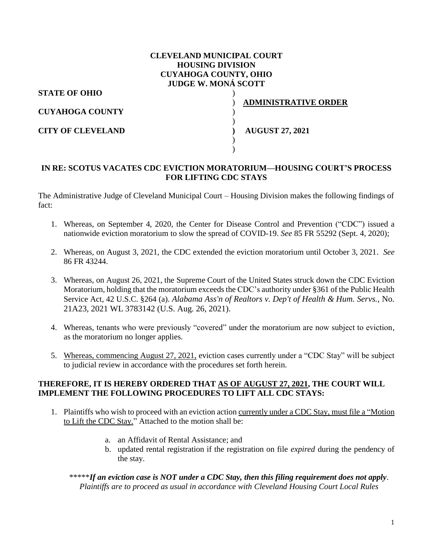## **CLEVELAND MUNICIPAL COURT HOUSING DIVISION CUYAHOGA COUNTY, OHIO JUDGE W. MONÁ SCOTT**

)

) )

) )

**STATE OF OHIO**

**CUYAHOGA COUNTY**

**CITY OF CLEVELAND**

) **ADMINISTRATIVE ORDER**

**) AUGUST 27, 2021**

## **IN RE: SCOTUS VACATES CDC EVICTION MORATORIUM—HOUSING COURT'S PROCESS FOR LIFTING CDC STAYS**

The Administrative Judge of Cleveland Municipal Court – Housing Division makes the following findings of fact:

- 1. Whereas, on September 4, 2020, the Center for Disease Control and Prevention ("CDC") issued a nationwide eviction moratorium to slow the spread of COVID-19. *See* 85 FR 55292 (Sept. 4, 2020);
- 2. Whereas, on August 3, 2021, the CDC extended the eviction moratorium until October 3, 2021. *See* 86 FR 43244.
- 3. Whereas, on August 26, 2021, the Supreme Court of the United States struck down the CDC Eviction Moratorium, holding that the moratorium exceeds the CDC's authority under §361 of the Public Health Service Act, 42 U.S.C. §264 (a). *Alabama Ass'n of Realtors v. Dep't of Health & Hum. Servs.,* No. 21A23, 2021 WL 3783142 (U.S. Aug. 26, 2021).
- 4. Whereas, tenants who were previously "covered" under the moratorium are now subject to eviction, as the moratorium no longer applies.
- 5. Whereas, commencing August 27, 2021, eviction cases currently under a "CDC Stay" will be subject to judicial review in accordance with the procedures set forth herein.

### **THEREFORE, IT IS HEREBY ORDERED THAT AS OF AUGUST 27, 2021, THE COURT WILL IMPLEMENT THE FOLLOWING PROCEDURES TO LIFT ALL CDC STAYS:**

- 1. Plaintiffs who wish to proceed with an eviction action currently under a CDC Stay, must file a "Motion to Lift the CDC Stay." Attached to the motion shall be:
	- a. an Affidavit of Rental Assistance; and
	- b. updated rental registration if the registration on file *expired* during the pendency of the stay.

\*\*\*\*\**If an eviction case is NOT under a CDC Stay, then this filing requirement does not apply. Plaintiffs are to proceed as usual in accordance with Cleveland Housing Court Local Rules*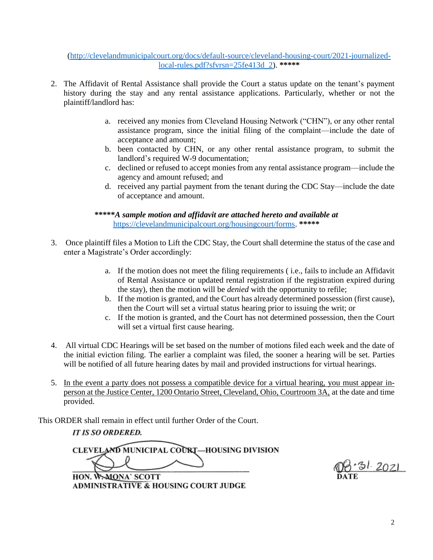[\(http://clevelandmunicipalcourt.org/docs/default-source/cleveland-housing-court/2021-journalized](http://clevelandmunicipalcourt.org/docs/default-source/cleveland-housing-court/2021-journalized-local-rules.pdf?sfvrsn=25fe413d_2)[local-rules.pdf?sfvrsn=25fe413d\\_2\)](http://clevelandmunicipalcourt.org/docs/default-source/cleveland-housing-court/2021-journalized-local-rules.pdf?sfvrsn=25fe413d_2). **\*\*\*\*\***

- 2. The Affidavit of Rental Assistance shall provide the Court a status update on the tenant's payment history during the stay and any rental assistance applications. Particularly, whether or not the plaintiff/landlord has:
	- a. received any monies from Cleveland Housing Network ("CHN"), or any other rental assistance program, since the initial filing of the complaint—include the date of acceptance and amount;
	- b. been contacted by CHN, or any other rental assistance program, to submit the landlord's required W-9 documentation;
	- c. declined or refused to accept monies from any rental assistance program—include the agency and amount refused; and
	- d. received any partial payment from the tenant during the CDC Stay—include the date of acceptance and amount.

**\*\*\*\*\****A sample motion and affidavit are attached hereto and available at* [https://clevelandmunicipalcourt.org/housingcourt/forms.](https://clevelandmunicipalcourt.org/housingcourt/forms) **\*\*\*\*\***

- 3. Once plaintiff files a Motion to Lift the CDC Stay, the Court shall determine the status of the case and enter a Magistrate's Order accordingly:
	- a. If the motion does not meet the filing requirements ( i.e., fails to include an Affidavit of Rental Assistance or updated rental registration if the registration expired during the stay), then the motion will be *denied* with the opportunity to refile;
	- b. If the motion is granted, and the Court has already determined possession (first cause), then the Court will set a virtual status hearing prior to issuing the writ; or
	- c. If the motion is granted, and the Court has not determined possession, then the Court will set a virtual first cause hearing.
- 4. All virtual CDC Hearings will be set based on the number of motions filed each week and the date of the initial eviction filing. The earlier a complaint was filed, the sooner a hearing will be set. Parties will be notified of all future hearing dates by mail and provided instructions for virtual hearings.
- 5. In the event a party does not possess a compatible device for a virtual hearing, you must appear inperson at the Justice Center, 1200 Ontario Street, Cleveland, Ohio, Courtroom 3A, at the date and time provided.

This ORDER shall remain in effect until further Order of the Court.

# **IT IS SO ORDERED.**

CLEVELAND MUNICIPAL COURT-HOUSING DIVISION

HON. W.MONA' SCOTT **ADMINISTRATIVE & HOUSING COURT JUDGE** 

<u>'31 2021</u>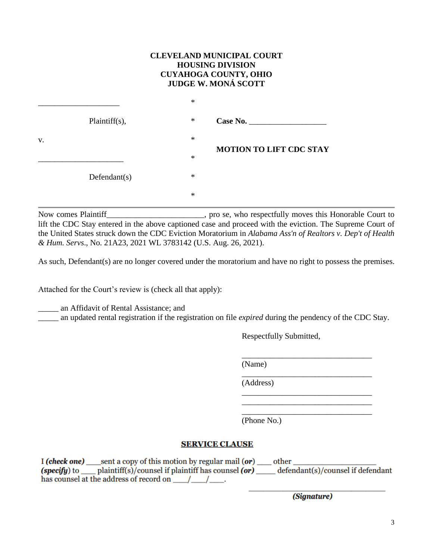#### **CLEVELAND MUNICIPAL COURT HOUSING DIVISION CUYAHOGA COUNTY, OHIO JUDGE W. MONÁ SCOTT**

|    |                  | $\ast$ |                                |
|----|------------------|--------|--------------------------------|
|    | $Plaintiff(s)$ , | $\ast$ | Case No.                       |
| V. |                  | $\ast$ |                                |
|    |                  | $\ast$ | <b>MOTION TO LIFT CDC STAY</b> |
|    | Defendant(s)     | $\ast$ |                                |
|    |                  | $\ast$ |                                |

Now comes Plaintiff\_\_\_\_\_\_\_\_\_\_\_\_\_\_\_\_\_\_\_\_\_\_\_\_, pro se, who respectfully moves this Honorable Court to lift the CDC Stay entered in the above captioned case and proceed with the eviction. The Supreme Court of the United States struck down the CDC Eviction Moratorium in *Alabama Ass'n of Realtors v. Dep't of Health & Hum. Servs*., No. 21A23, 2021 WL 3783142 (U.S. Aug. 26, 2021).

As such, Defendant(s) are no longer covered under the moratorium and have no right to possess the premises.

Attached for the Court's review is (check all that apply):

\_\_\_\_\_ an Affidavit of Rental Assistance; and

\_\_\_\_\_ an updated rental registration if the registration on file *expired* during the pendency of the CDC Stay.

Respectfully Submitted,

\_\_\_\_\_\_\_\_\_\_\_\_\_\_\_\_\_\_\_\_\_\_\_\_\_\_\_\_\_\_\_\_

\_\_\_\_\_\_\_\_\_\_\_\_\_\_\_\_\_\_\_\_\_\_\_\_\_\_\_\_\_\_\_\_

\_\_\_\_\_\_\_\_\_\_\_\_\_\_\_\_\_\_\_\_\_\_\_\_\_\_\_\_\_\_\_\_ \_\_\_\_\_\_\_\_\_\_\_\_\_\_\_\_\_\_\_\_\_\_\_\_\_\_\_\_\_\_\_\_ \_\_\_\_\_\_\_\_\_\_\_\_\_\_\_\_\_\_\_\_\_\_\_\_\_\_\_\_\_\_\_\_

(Name)

(Address)

(Phone No.)

### **SERVICE CLAUSE**

I (check one) \_\_\_\_sent a copy of this motion by regular mail (or) \_\_\_\_\_ other \_\_\_ has counsel at the address of record on  $\left( \frac{1}{2} \right)$ .

(Signature)